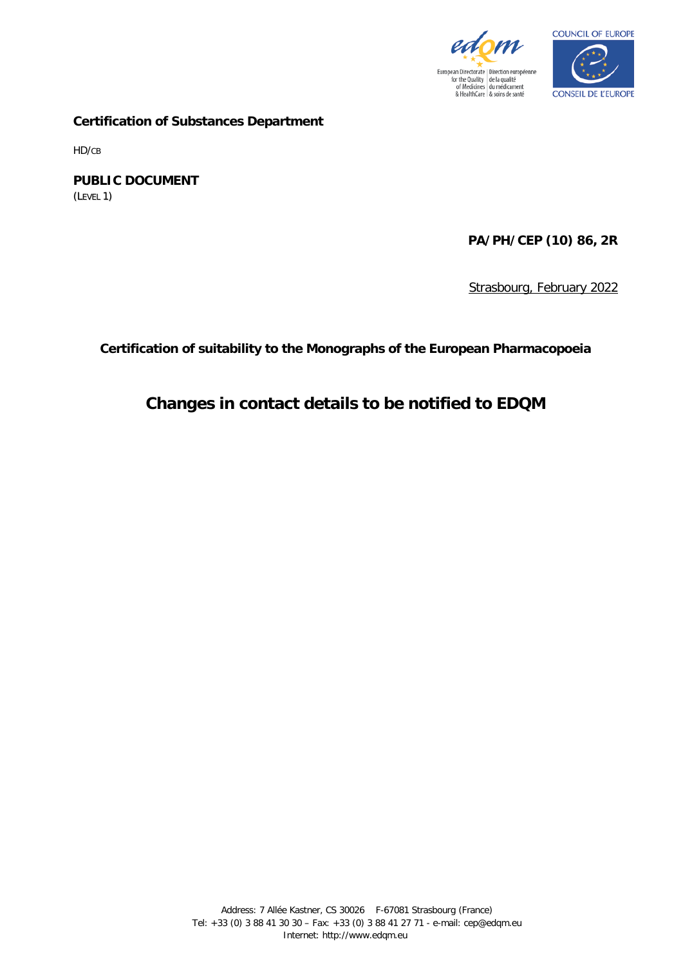



**Certification of Substances Department**

HD/CB

**PUBLIC DOCUMENT** (LEVEL 1)

**PA/PH/CEP (10) 86, 2R**

Strasbourg, February 2022

**Certification of suitability to the Monographs of the European Pharmacopoeia**

**Changes in contact details to be notified to EDQM**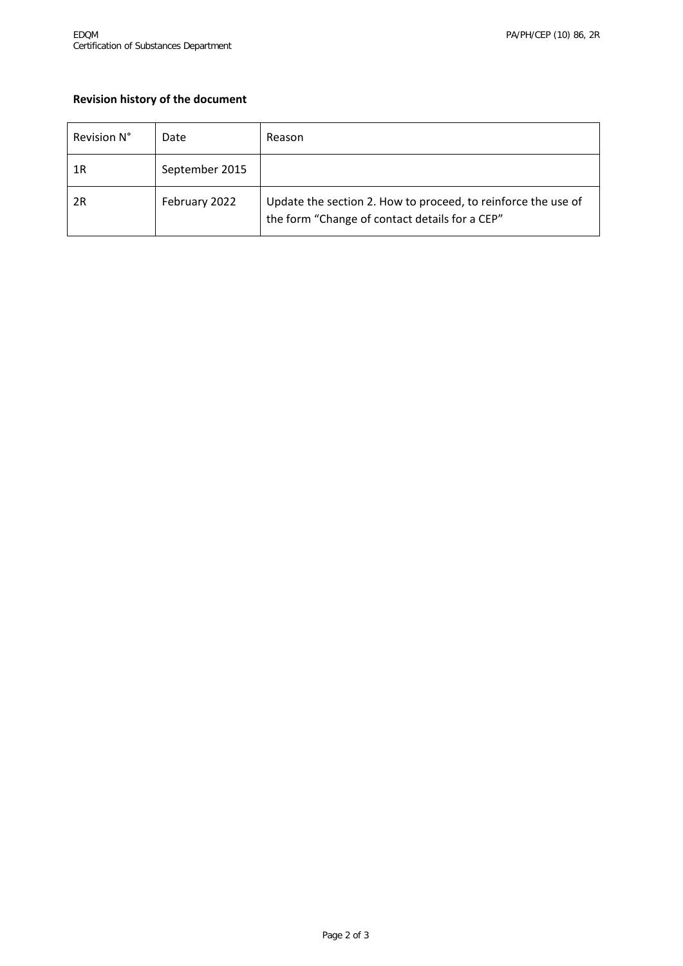## **Revision history of the document**

| Revision N° | Date           | Reason                                                                                                          |
|-------------|----------------|-----------------------------------------------------------------------------------------------------------------|
| 1R          | September 2015 |                                                                                                                 |
| 2R          | February 2022  | Update the section 2. How to proceed, to reinforce the use of<br>the form "Change of contact details for a CEP" |